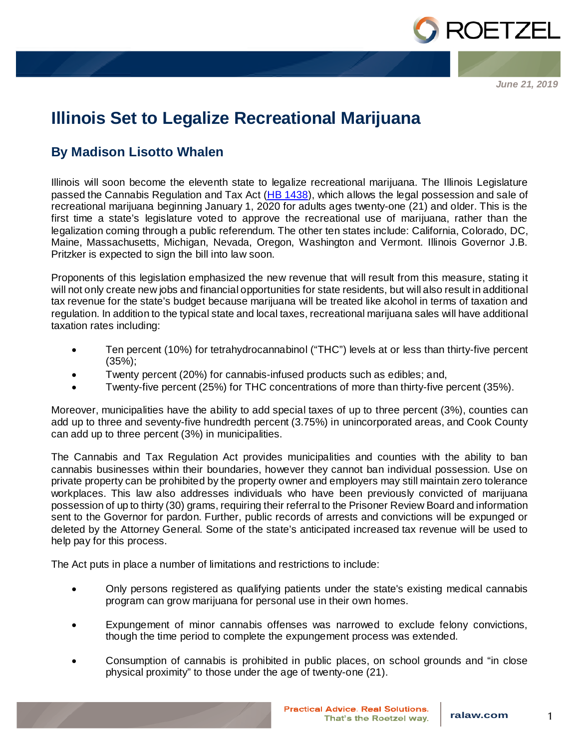

*June 21, 2019*

## **Illinois Set to Legalize Recreational Marijuana**

## **By Madison Lisotto Whalen**

Illinois will soon become the eleventh state to legalize recreational marijuana. The Illinois Legislature passed the Cannabis Regulation and Tax Act ([HB 1438\)](http://ilga.gov/legislation/101/HB/10100HB1438sam002.htm), which allows the legal possession and sale of recreational marijuana beginning January 1, 2020 for adults ages twenty-one (21) and older. This is the first time a state's legislature voted to approve the recreational use of marijuana, rather than the legalization coming through a public referendum. The other ten states include: California, Colorado, DC, Maine, Massachusetts, Michigan, Nevada, Oregon, Washington and Vermont. Illinois Governor J.B. Pritzker is expected to sign the bill into law soon.

Proponents of this legislation emphasized the new revenue that will result from this measure, stating it will not only create new jobs and financial opportunities for state residents, but will also result in additional tax revenue for the state's budget because marijuana will be treated like alcohol in terms of taxation and regulation. In addition to the typical state and local taxes, recreational marijuana sales will have additional taxation rates including:

- Ten percent (10%) for tetrahydrocannabinol ("THC") levels at or less than thirty-five percent (35%);
- Twenty percent (20%) for cannabis-infused products such as edibles; and,
- Twenty-five percent (25%) for THC concentrations of more than thirty-five percent (35%).

Moreover, municipalities have the ability to add special taxes of up to three percent (3%), counties can add up to three and seventy-five hundredth percent (3.75%) in unincorporated areas, and Cook County can add up to three percent (3%) in municipalities.

The Cannabis and Tax Regulation Act provides municipalities and counties with the ability to ban cannabis businesses within their boundaries, however they cannot ban individual possession. Use on private property can be prohibited by the property owner and employers may still maintain zero tolerance workplaces. This law also addresses individuals who have been previously convicted of marijuana possession of up to thirty (30) grams, requiring their referral to the Prisoner Review Board and information sent to the Governor for pardon. Further, public records of arrests and convictions will be expunged or deleted by the Attorney General. Some of the state's anticipated increased tax revenue will be used to help pay for this process.

The Act puts in place a number of limitations and restrictions to include:

- Only persons registered as qualifying patients under the state's existing medical cannabis program can grow marijuana for personal use in their own homes.
- Expungement of minor cannabis offenses was narrowed to exclude felony convictions, though the time period to complete the expungement process was extended.
- Consumption of cannabis is prohibited in public places, on school grounds and "in close physical proximity" to those under the age of twenty-one (21).